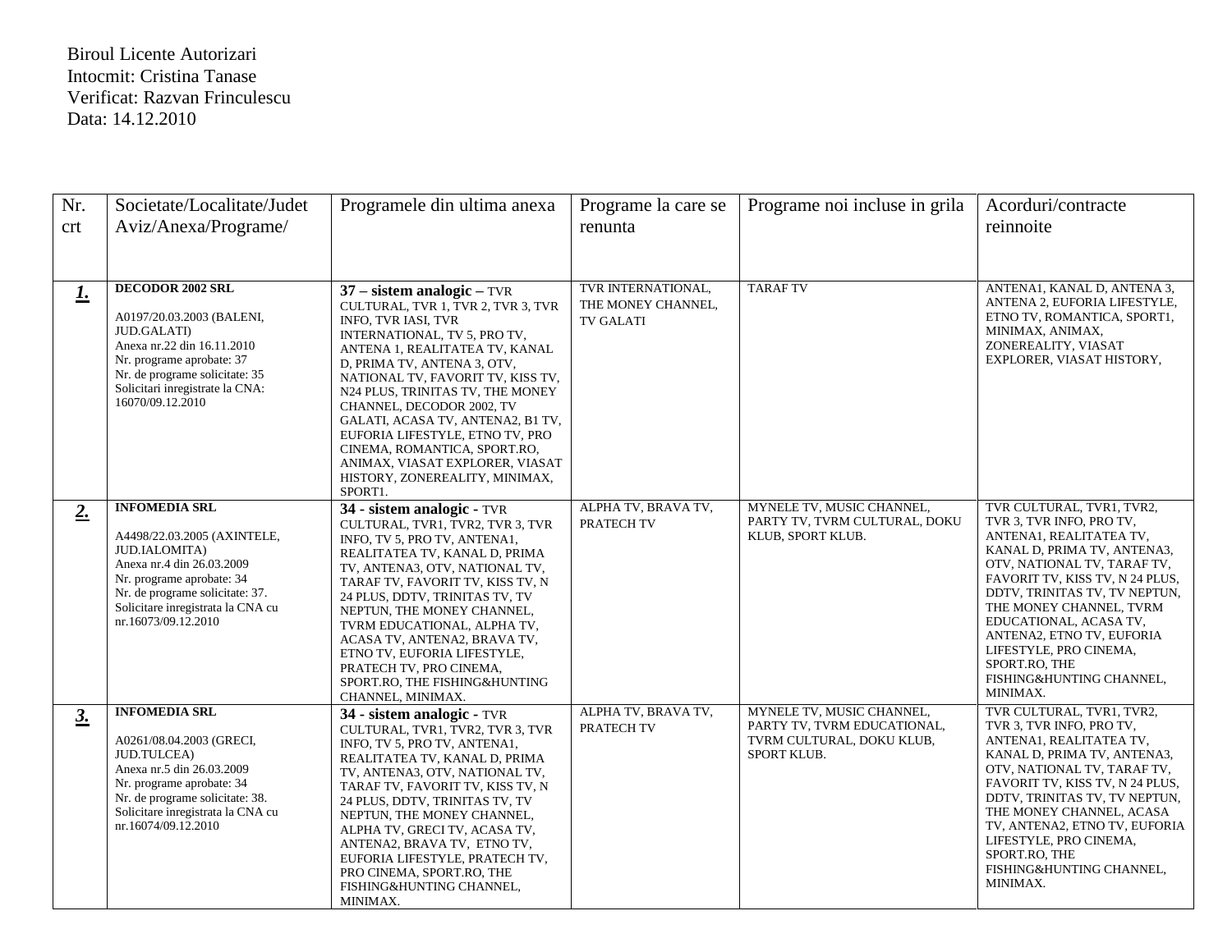## Biroul Licente Autorizari Intocmit: Cristina Tanase Verificat: Razvan Frinculescu Data: 14.12.2010

| Nr.       | Societate/Localitate/Judet                                                                                                                                                                                                      | Programele din ultima anexa                                                                                                                                                                                                                                                                                                                                                                                                                                                              | Programe la care se                                          | Programe noi incluse in grila                                                                        | Acorduri/contracte                                                                                                                                                                                                                                                                                                                                                                      |
|-----------|---------------------------------------------------------------------------------------------------------------------------------------------------------------------------------------------------------------------------------|------------------------------------------------------------------------------------------------------------------------------------------------------------------------------------------------------------------------------------------------------------------------------------------------------------------------------------------------------------------------------------------------------------------------------------------------------------------------------------------|--------------------------------------------------------------|------------------------------------------------------------------------------------------------------|-----------------------------------------------------------------------------------------------------------------------------------------------------------------------------------------------------------------------------------------------------------------------------------------------------------------------------------------------------------------------------------------|
| crt       | Aviz/Anexa/Programe/                                                                                                                                                                                                            |                                                                                                                                                                                                                                                                                                                                                                                                                                                                                          | renunta                                                      |                                                                                                      | reinnoite                                                                                                                                                                                                                                                                                                                                                                               |
|           |                                                                                                                                                                                                                                 |                                                                                                                                                                                                                                                                                                                                                                                                                                                                                          |                                                              |                                                                                                      |                                                                                                                                                                                                                                                                                                                                                                                         |
| <u>I.</u> | <b>DECODOR 2002 SRL</b><br>A0197/20.03.2003 (BALENI,<br><b>JUD.GALATI</b> )<br>Anexa nr.22 din 16.11.2010<br>Nr. programe aprobate: 37<br>Nr. de programe solicitate: 35<br>Solicitari inregistrate la CNA:<br>16070/09.12.2010 | $37$ – sistem analogic – TVR<br>CULTURAL, TVR 1, TVR 2, TVR 3, TVR<br>INFO, TVR IASI, TVR<br>INTERNATIONAL, TV 5, PRO TV,<br>ANTENA 1, REALITATEA TV, KANAL<br>D, PRIMA TV, ANTENA 3, OTV,<br>NATIONAL TV, FAVORIT TV, KISS TV,<br>N24 PLUS, TRINITAS TV, THE MONEY<br>CHANNEL, DECODOR 2002, TV<br>GALATI, ACASA TV, ANTENA2, B1 TV,<br>EUFORIA LIFESTYLE, ETNO TV, PRO<br>CINEMA, ROMANTICA, SPORT.RO,<br>ANIMAX, VIASAT EXPLORER, VIASAT<br>HISTORY, ZONEREALITY, MINIMAX,<br>SPORT1. | TVR INTERNATIONAL,<br>THE MONEY CHANNEL,<br><b>TV GALATI</b> | <b>TARAFTV</b>                                                                                       | ANTENA1, KANAL D, ANTENA 3,<br>ANTENA 2, EUFORIA LIFESTYLE,<br>ETNO TV, ROMANTICA, SPORT1,<br>MINIMAX, ANIMAX,<br>ZONEREALITY, VIASAT<br>EXPLORER, VIASAT HISTORY,                                                                                                                                                                                                                      |
| 2.        | <b>INFOMEDIA SRL</b><br>A4498/22.03.2005 (AXINTELE,<br>JUD.IALOMITA)<br>Anexa nr.4 din 26.03.2009<br>Nr. programe aprobate: 34<br>Nr. de programe solicitate: 37.<br>Solicitare inregistrata la CNA cu<br>nr.16073/09.12.2010   | 34 - sistem analogic - TVR<br>CULTURAL, TVR1, TVR2, TVR 3, TVR<br>INFO, TV 5, PRO TV, ANTENA1,<br>REALITATEA TV, KANAL D, PRIMA<br>TV, ANTENA3, OTV, NATIONAL TV,<br>TARAF TV, FAVORIT TV, KISS TV, N<br>24 PLUS, DDTV, TRINITAS TV, TV<br>NEPTUN, THE MONEY CHANNEL,<br>TVRM EDUCATIONAL, ALPHA TV,<br>ACASA TV, ANTENA2, BRAVA TV,<br>ETNO TV, EUFORIA LIFESTYLE,<br>PRATECH TV, PRO CINEMA,<br>SPORT.RO, THE FISHING&HUNTING<br>CHANNEL, MINIMAX.                                     | ALPHA TV, BRAVA TV,<br>PRATECH TV                            | MYNELE TV, MUSIC CHANNEL,<br>PARTY TV, TVRM CULTURAL, DOKU<br>KLUB, SPORT KLUB.                      | TVR CULTURAL, TVR1, TVR2,<br>TVR 3, TVR INFO, PRO TV,<br>ANTENA1, REALITATEA TV,<br>KANAL D, PRIMA TV, ANTENA3,<br>OTV, NATIONAL TV, TARAF TV,<br>FAVORIT TV, KISS TV, N 24 PLUS,<br>DDTV, TRINITAS TV, TV NEPTUN,<br>THE MONEY CHANNEL, TVRM<br>EDUCATIONAL, ACASA TV,<br>ANTENA2, ETNO TV, EUFORIA<br>LIFESTYLE, PRO CINEMA,<br>SPORT.RO, THE<br>FISHING&HUNTING CHANNEL,<br>MINIMAX. |
| 3.        | <b>INFOMEDIA SRL</b><br>A0261/08.04.2003 (GRECI,<br><b>JUD.TULCEA)</b><br>Anexa nr.5 din 26.03.2009<br>Nr. programe aprobate: 34<br>Nr. de programe solicitate: 38.<br>Solicitare inregistrata la CNA cu<br>nr.16074/09.12.2010 | 34 - sistem analogic - TVR<br>CULTURAL, TVR1, TVR2, TVR 3, TVR<br>INFO, TV 5, PRO TV, ANTENA1,<br>REALITATEA TV, KANAL D, PRIMA<br>TV, ANTENA3, OTV, NATIONAL TV,<br>TARAF TV, FAVORIT TV, KISS TV, N<br>24 PLUS, DDTV, TRINITAS TV, TV<br>NEPTUN, THE MONEY CHANNEL,<br>ALPHA TV, GRECI TV, ACASA TV,<br>ANTENA2, BRAVA TV, ETNO TV,<br>EUFORIA LIFESTYLE, PRATECH TV,<br>PRO CINEMA, SPORT.RO, THE<br>FISHING&HUNTING CHANNEL,<br>MINIMAX.                                             | ALPHA TV, BRAVA TV,<br>PRATECH TV                            | MYNELE TV, MUSIC CHANNEL,<br>PARTY TV, TVRM EDUCATIONAL,<br>TVRM CULTURAL, DOKU KLUB,<br>SPORT KLUB. | TVR CULTURAL, TVR1, TVR2,<br>TVR 3, TVR INFO, PRO TV,<br>ANTENA1, REALITATEA TV,<br>KANAL D, PRIMA TV, ANTENA3,<br>OTV, NATIONAL TV, TARAF TV,<br>FAVORIT TV, KISS TV, N 24 PLUS,<br>DDTV, TRINITAS TV, TV NEPTUN,<br>THE MONEY CHANNEL, ACASA<br>TV, ANTENA2, ETNO TV, EUFORIA<br>LIFESTYLE, PRO CINEMA,<br>SPORT.RO, THE<br>FISHING&HUNTING CHANNEL,<br>MINIMAX.                      |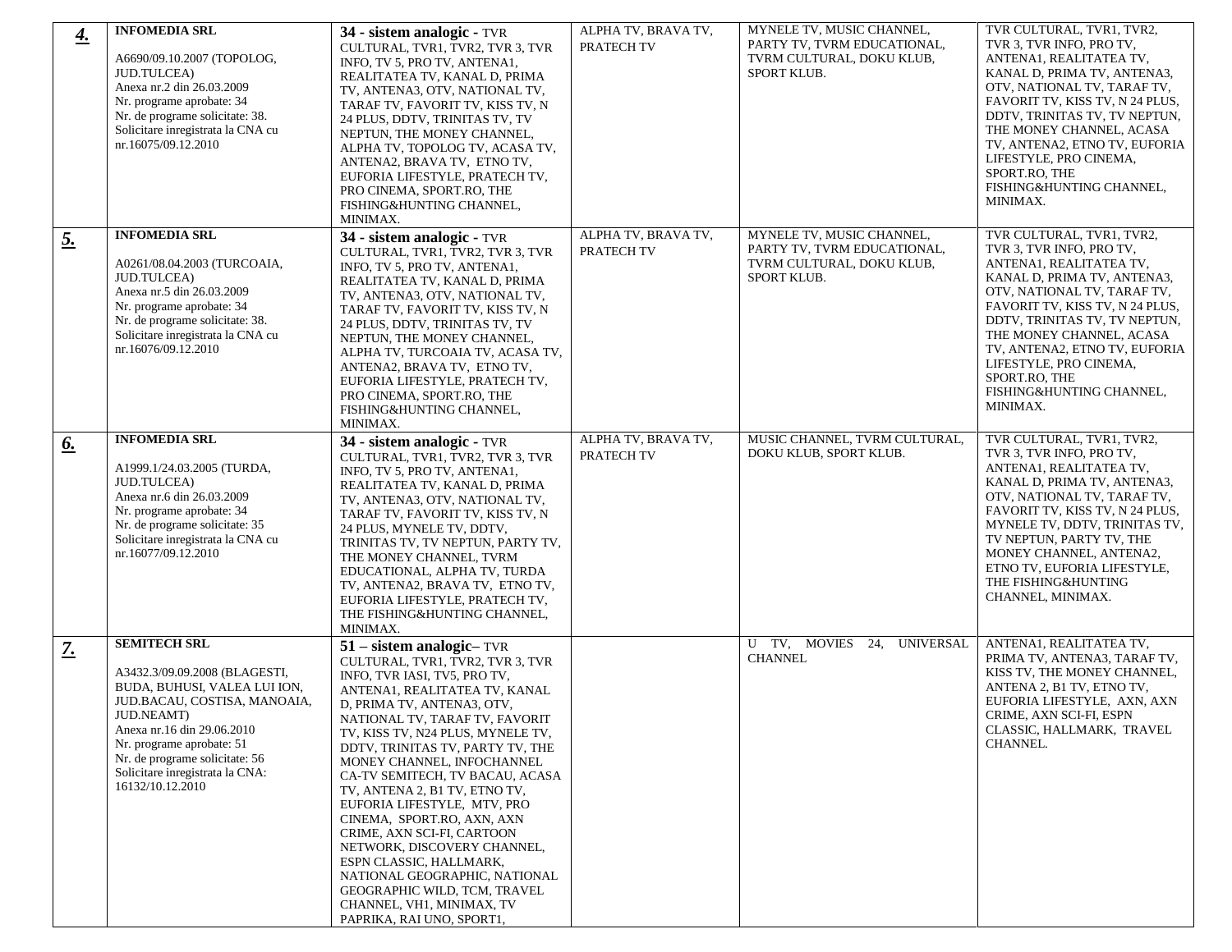| <u>4.</u>     | <b>INFOMEDIA SRL</b>                                                                                                                                                                                                                                                                   | 34 - sistem analogic - TVR                                                                                                                                                                                                                                                                                                                                                                                                                                                                                                                                                                                                                                  | ALPHA TV, BRAVA TV,               | MYNELE TV, MUSIC CHANNEL,                                                                            | TVR CULTURAL, TVR1, TVR2,                                                                                                                                                                                                                                                                                                                                          |
|---------------|----------------------------------------------------------------------------------------------------------------------------------------------------------------------------------------------------------------------------------------------------------------------------------------|-------------------------------------------------------------------------------------------------------------------------------------------------------------------------------------------------------------------------------------------------------------------------------------------------------------------------------------------------------------------------------------------------------------------------------------------------------------------------------------------------------------------------------------------------------------------------------------------------------------------------------------------------------------|-----------------------------------|------------------------------------------------------------------------------------------------------|--------------------------------------------------------------------------------------------------------------------------------------------------------------------------------------------------------------------------------------------------------------------------------------------------------------------------------------------------------------------|
|               | A6690/09.10.2007 (TOPOLOG,<br>JUD.TULCEA)<br>Anexa nr.2 din 26.03.2009<br>Nr. programe aprobate: 34<br>Nr. de programe solicitate: 38.<br>Solicitare inregistrata la CNA cu<br>nr.16075/09.12.2010                                                                                     | CULTURAL, TVR1, TVR2, TVR 3, TVR<br>INFO, TV 5, PRO TV, ANTENA1,<br>REALITATEA TV, KANAL D, PRIMA<br>TV, ANTENA3, OTV, NATIONAL TV,<br>TARAF TV, FAVORIT TV, KISS TV, N<br>24 PLUS, DDTV, TRINITAS TV, TV<br>NEPTUN, THE MONEY CHANNEL,<br>ALPHA TV, TOPOLOG TV, ACASA TV,<br>ANTENA2, BRAVA TV, ETNO TV,<br>EUFORIA LIFESTYLE, PRATECH TV,<br>PRO CINEMA, SPORT.RO, THE<br>FISHING&HUNTING CHANNEL,<br>MINIMAX.                                                                                                                                                                                                                                            | PRATECH TV                        | PARTY TV, TVRM EDUCATIONAL,<br>TVRM CULTURAL, DOKU KLUB,<br>SPORT KLUB.                              | TVR 3, TVR INFO, PRO TV,<br>ANTENA1, REALITATEA TV,<br>KANAL D, PRIMA TV, ANTENA3,<br>OTV, NATIONAL TV, TARAF TV,<br>FAVORIT TV, KISS TV, N 24 PLUS,<br>DDTV, TRINITAS TV, TV NEPTUN,<br>THE MONEY CHANNEL, ACASA<br>TV, ANTENA2, ETNO TV, EUFORIA<br>LIFESTYLE, PRO CINEMA,<br>SPORT.RO, THE<br>FISHING&HUNTING CHANNEL,<br>MINIMAX.                              |
| 5.            | <b>INFOMEDIA SRL</b><br>A0261/08.04.2003 (TURCOAIA,<br>JUD.TULCEA)<br>Anexa nr.5 din 26.03.2009<br>Nr. programe aprobate: 34<br>Nr. de programe solicitate: 38.<br>Solicitare inregistrata la CNA cu<br>nr.16076/09.12.2010                                                            | 34 - sistem analogic - TVR<br>CULTURAL, TVR1, TVR2, TVR 3, TVR<br>INFO, TV 5, PRO TV, ANTENA1,<br>REALITATEA TV, KANAL D, PRIMA<br>TV, ANTENA3, OTV, NATIONAL TV,<br>TARAF TV, FAVORIT TV, KISS TV, N<br>24 PLUS, DDTV, TRINITAS TV, TV<br>NEPTUN, THE MONEY CHANNEL,<br>ALPHA TV, TURCOAIA TV, ACASA TV,<br>ANTENA2, BRAVA TV, ETNO TV,<br>EUFORIA LIFESTYLE, PRATECH TV,<br>PRO CINEMA, SPORT.RO, THE<br>FISHING&HUNTING CHANNEL,<br>MINIMAX.                                                                                                                                                                                                             | ALPHA TV, BRAVA TV,<br>PRATECH TV | MYNELE TV, MUSIC CHANNEL,<br>PARTY TV, TVRM EDUCATIONAL,<br>TVRM CULTURAL, DOKU KLUB,<br>SPORT KLUB. | TVR CULTURAL, TVR1, TVR2,<br>TVR 3, TVR INFO, PRO TV,<br>ANTENA1, REALITATEA TV,<br>KANAL D, PRIMA TV, ANTENA3,<br>OTV, NATIONAL TV, TARAF TV,<br>FAVORIT TV, KISS TV, N 24 PLUS,<br>DDTV, TRINITAS TV, TV NEPTUN,<br>THE MONEY CHANNEL, ACASA<br>TV, ANTENA2, ETNO TV, EUFORIA<br>LIFESTYLE. PRO CINEMA.<br>SPORT.RO, THE<br>FISHING&HUNTING CHANNEL,<br>MINIMAX. |
| 6.            | <b>INFOMEDIA SRL</b><br>A1999.1/24.03.2005 (TURDA,<br><b>JUD.TULCEA)</b><br>Anexa nr.6 din 26.03.2009<br>Nr. programe aprobate: 34<br>Nr. de programe solicitate: 35<br>Solicitare inregistrata la CNA cu<br>nr.16077/09.12.2010                                                       | 34 - sistem analogic - TVR<br>CULTURAL, TVR1, TVR2, TVR 3, TVR<br>INFO, TV 5, PRO TV, ANTENA1,<br>REALITATEA TV, KANAL D, PRIMA<br>TV, ANTENA3, OTV, NATIONAL TV,<br>TARAF TV, FAVORIT TV, KISS TV, N<br>24 PLUS, MYNELE TV, DDTV,<br>TRINITAS TV, TV NEPTUN, PARTY TV,<br>THE MONEY CHANNEL, TVRM<br>EDUCATIONAL, ALPHA TV, TURDA<br>TV, ANTENA2, BRAVA TV, ETNO TV,<br>EUFORIA LIFESTYLE, PRATECH TV,<br>THE FISHING&HUNTING CHANNEL,<br>MINIMAX.                                                                                                                                                                                                         | ALPHA TV, BRAVA TV,<br>PRATECH TV | MUSIC CHANNEL, TVRM CULTURAL,<br>DOKU KLUB, SPORT KLUB.                                              | TVR CULTURAL, TVR1, TVR2,<br>TVR 3, TVR INFO, PRO TV,<br>ANTENA1, REALITATEA TV,<br>KANAL D, PRIMA TV, ANTENA3,<br>OTV, NATIONAL TV, TARAF TV,<br>FAVORIT TV, KISS TV, N 24 PLUS,<br>MYNELE TV, DDTV, TRINITAS TV,<br>TV NEPTUN, PARTY TV, THE<br>MONEY CHANNEL, ANTENA2,<br>ETNO TV, EUFORIA LIFESTYLE,<br>THE FISHING&HUNTING<br>CHANNEL, MINIMAX.               |
| $\frac{7}{2}$ | <b>SEMITECH SRL</b><br>A3432.3/09.09.2008 (BLAGESTI,<br>BUDA, BUHUSI, VALEA LUI ION,<br>JUD.BACAU, COSTISA, MANOAIA,<br>JUD.NEAMT)<br>Anexa nr.16 din 29.06.2010<br>Nr. programe aprobate: 51<br>Nr. de programe solicitate: 56<br>Solicitare inregistrata la CNA:<br>16132/10.12.2010 | $51$ – sistem analogic– TVR<br>CULTURAL, TVR1, TVR2, TVR 3, TVR<br>INFO, TVR IASI, TV5, PRO TV,<br>ANTENA1, REALITATEA TV, KANAL<br>D, PRIMA TV, ANTENA3, OTV,<br>NATIONAL TV, TARAF TV, FAVORIT<br>TV, KISS TV, N24 PLUS, MYNELE TV,<br>DDTV, TRINITAS TV, PARTY TV, THE<br>MONEY CHANNEL, INFOCHANNEL<br>CA-TV SEMITECH, TV BACAU, ACASA<br>TV, ANTENA 2, B1 TV, ETNO TV,<br>EUFORIA LIFESTYLE, MTV, PRO<br>CINEMA, SPORT.RO, AXN, AXN<br>CRIME, AXN SCI-FI, CARTOON<br>NETWORK, DISCOVERY CHANNEL,<br>ESPN CLASSIC, HALLMARK,<br>NATIONAL GEOGRAPHIC, NATIONAL<br>GEOGRAPHIC WILD, TCM, TRAVEL<br>CHANNEL, VH1, MINIMAX, TV<br>PAPRIKA, RAI UNO, SPORT1, |                                   | U TV, MOVIES 24, UNIVERSAL<br><b>CHANNEL</b>                                                         | ANTENA1, REALITATEA TV,<br>PRIMA TV, ANTENA3, TARAF TV,<br>KISS TV, THE MONEY CHANNEL,<br>ANTENA 2, B1 TV, ETNO TV,<br>EUFORIA LIFESTYLE, AXN, AXN<br>CRIME, AXN SCI-FI, ESPN<br>CLASSIC, HALLMARK, TRAVEL<br>CHANNEL.                                                                                                                                             |